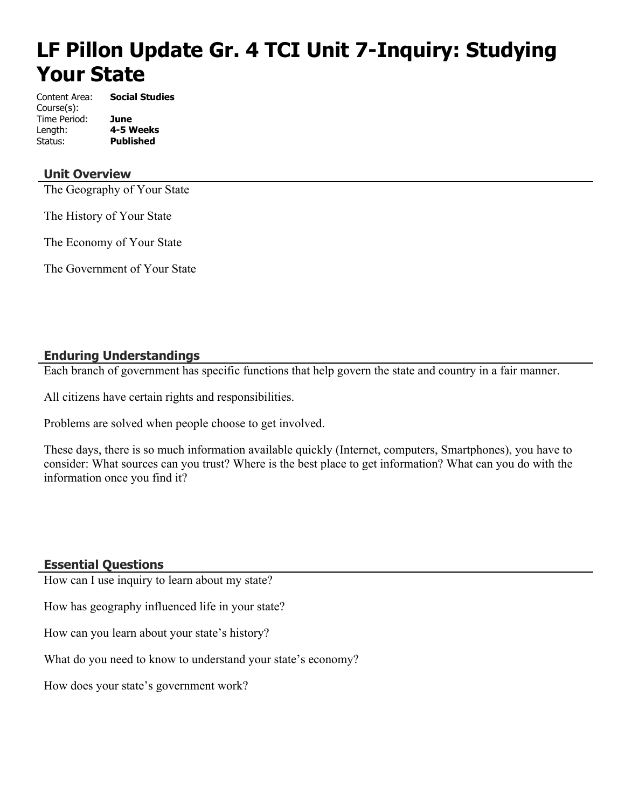# **LF Pillon Update Gr. 4 TCI Unit 7-Inquiry: Studying Your State**

Content Area: **Social Studies** Course(s): Time Period: **June** Length: **4-5 Weeks** Status: **Published**

# **Unit Overview**

The Geography of Your State

The History of Your State

The Economy of Your State

The Government of Your State

# **Enduring Understandings**

Each branch of government has specific functions that help govern the state and country in a fair manner.

All citizens have certain rights and responsibilities.

Problems are solved when people choose to get involved.

These days, there is so much information available quickly (Internet, computers, Smartphones), you have to consider: What sources can you trust? Where is the best place to get information? What can you do with the information once you find it?

# **Essential Questions**

How can I use inquiry to learn about my state?

How has geography influenced life in your state?

How can you learn about your state's history?

What do you need to know to understand your state's economy?

How does your state's government work?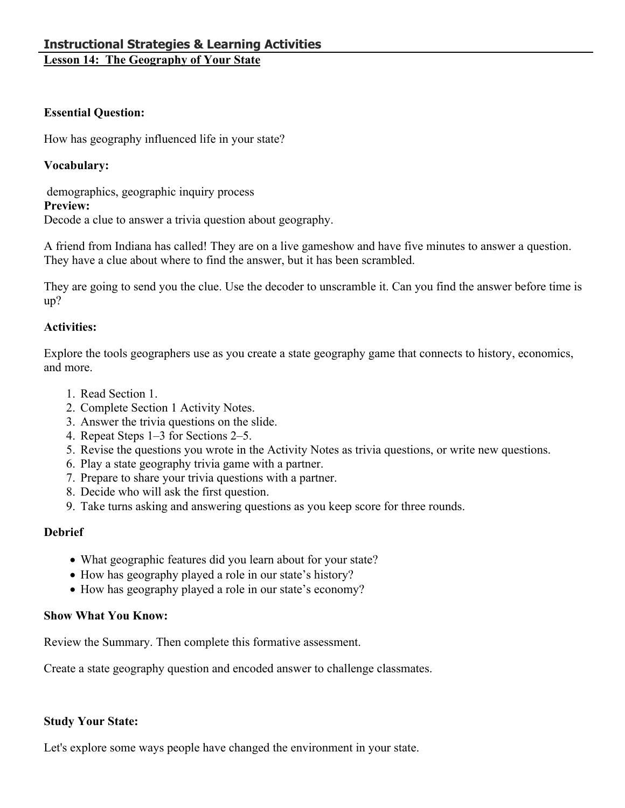# **Essential Question:**

How has geography influenced life in your state?

# **Vocabulary:**

 demographics, geographic inquiry process **Preview:**

Decode a clue to answer a trivia question about geography.

A friend from Indiana has called! They are on a live gameshow and have five minutes to answer a question. They have a clue about where to find the answer, but it has been scrambled.

They are going to send you the clue. Use the decoder to unscramble it. Can you find the answer before time is up?

# **Activities:**

Explore the tools geographers use as you create a state geography game that connects to history, economics, and more.

- 1. Read Section 1.
- 2. Complete Section 1 Activity Notes.
- 3. Answer the trivia questions on the slide.
- 4. Repeat Steps 1–3 for Sections 2–5.
- 5. Revise the questions you wrote in the Activity Notes as trivia questions, or write new questions.
- 6. Play a state geography trivia game with a partner.
- 7. Prepare to share your trivia questions with a partner.
- 8. Decide who will ask the first question.
- 9. Take turns asking and answering questions as you keep score for three rounds.

# **Debrief**

- What geographic features did you learn about for your state?
- How has geography played a role in our state's history?
- How has geography played a role in our state's economy?

# **Show What You Know:**

Review the Summary. Then complete this formative assessment.

Create a state geography question and encoded answer to challenge classmates.

# **Study Your State:**

Let's explore some ways people have changed the environment in your state.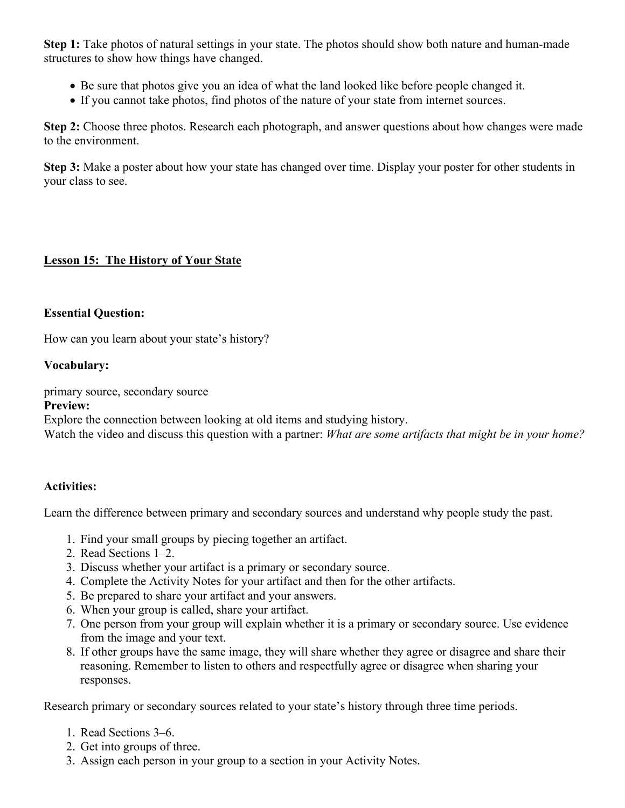**Step 1:** Take photos of natural settings in your state. The photos should show both nature and human-made structures to show how things have changed.

- Be sure that photos give you an idea of what the land looked like before people changed it.
- If you cannot take photos, find photos of the nature of your state from internet sources.

**Step 2:** Choose three photos. Research each photograph, and answer questions about how changes were made to the environment.

**Step 3:** Make a poster about how your state has changed over time. Display your poster for other students in your class to see.

# **Lesson 15: The History of Your State**

#### **Essential Question:**

How can you learn about your state's history?

#### **Vocabulary:**

primary source, secondary source

#### **Preview:**

Explore the connection between looking at old items and studying history.

Watch the video and discuss this question with a partner: *What are some artifacts that might be in your home?*

# **Activities:**

Learn the difference between primary and secondary sources and understand why people study the past.

- 1. Find your small groups by piecing together an artifact.
- 2. Read Sections 1–2.
- 3. Discuss whether your artifact is a primary or secondary source.
- 4. Complete the Activity Notes for your artifact and then for the other artifacts.
- 5. Be prepared to share your artifact and your answers.
- 6. When your group is called, share your artifact.
- 7. One person from your group will explain whether it is a primary or secondary source. Use evidence from the image and your text.
- 8. If other groups have the same image, they will share whether they agree or disagree and share their reasoning. Remember to listen to others and respectfully agree or disagree when sharing your responses.

Research primary or secondary sources related to your state's history through three time periods.

- 1. Read Sections 3–6.
- 2. Get into groups of three.
- 3. Assign each person in your group to a section in your Activity Notes.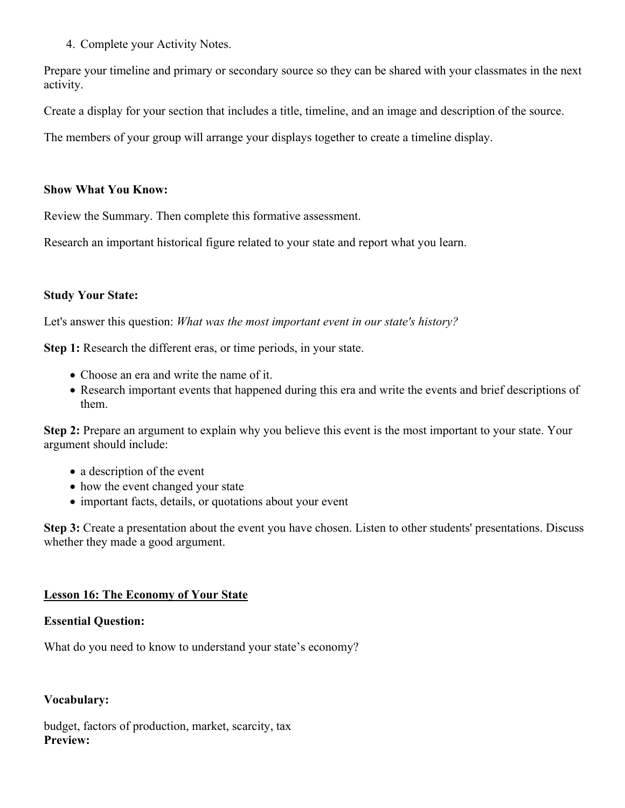4. Complete your Activity Notes.

Prepare your timeline and primary or secondary source so they can be shared with your classmates in the next activity.

Create a display for your section that includes a title, timeline, and an image and description of the source.

The members of your group will arrange your displays together to create a timeline display.

#### **Show What You Know:**

Review the Summary. Then complete this formative assessment.

Research an important historical figure related to your state and report what you learn.

#### **Study Your State:**

Let's answer this question: *What was the most important event in our state's history?*

**Step 1:** Research the different eras, or time periods, in your state.

- Choose an era and write the name of it.
- Research important events that happened during this era and write the events and brief descriptions of them.

**Step 2:** Prepare an argument to explain why you believe this event is the most important to your state. Your argument should include:

- a description of the event
- how the event changed your state
- important facts, details, or quotations about your event

**Step 3:** Create a presentation about the event you have chosen. Listen to other students' presentations. Discuss whether they made a good argument.

# **Lesson 16: The Economy of Your State**

#### **Essential Question:**

What do you need to know to understand your state's economy?

#### **Vocabulary:**

budget, factors of production, market, scarcity, tax **Preview:**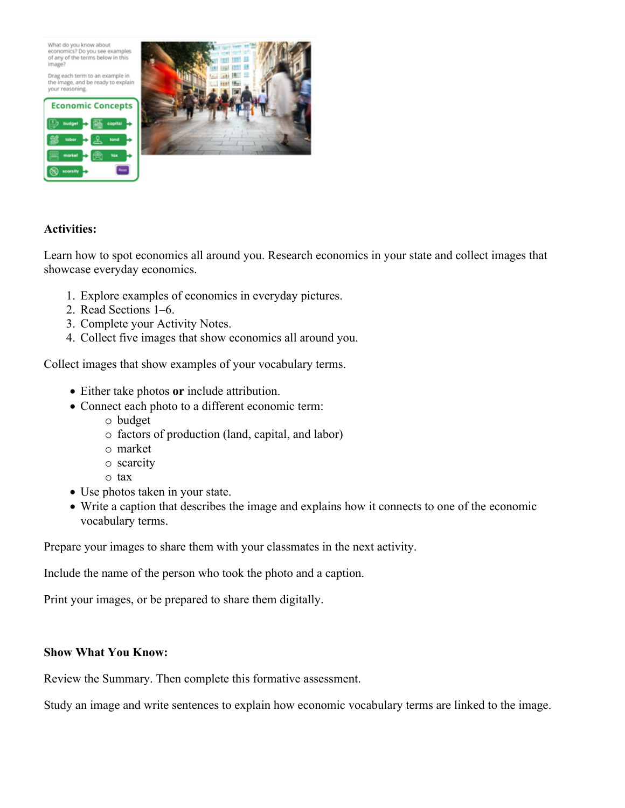What do you know about<br>economics? Do you see examples of any of the terms below in this image?

Drag each term to an example in the image, and be ready to explain<br>your reasoning.





# **Activities:**

Learn how to spot economics all around you. Research economics in your state and collect images that showcase everyday economics.

- 1. Explore examples of economics in everyday pictures.
- 2. Read Sections 1–6.
- 3. Complete your Activity Notes.
- 4. Collect five images that show economics all around you.

Collect images that show examples of your vocabulary terms.

- Either take photos **or** include attribution.
- Connect each photo to a different economic term:
	- o budget
	- o factors of production (land, capital, and labor)
	- o market
	- o scarcity
	- o tax
- Use photos taken in your state.
- Write a caption that describes the image and explains how it connects to one of the economic vocabulary terms.

Prepare your images to share them with your classmates in the next activity.

Include the name of the person who took the photo and a caption.

Print your images, or be prepared to share them digitally.

#### **Show What You Know:**

Review the Summary. Then complete this formative assessment.

Study an image and write sentences to explain how economic vocabulary terms are linked to the image.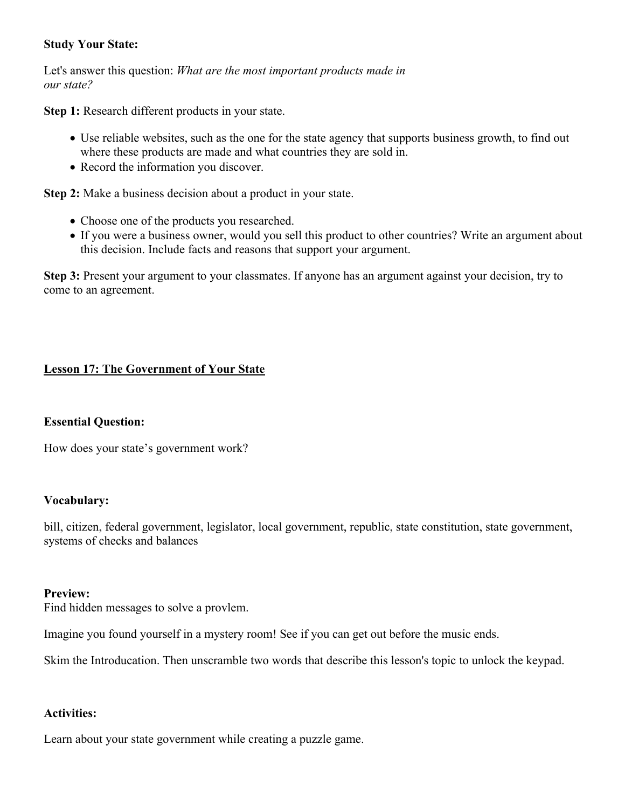# **Study Your State:**

Let's answer this question: *What are the most important products made in our state?*

**Step 1:** Research different products in your state.

- Use reliable websites, such as the one for the state agency that supports business growth, to find out where these products are made and what countries they are sold in.
- Record the information you discover.

**Step 2:** Make a business decision about a product in your state.

- Choose one of the products you researched.
- If you were a business owner, would you sell this product to other countries? Write an argument about this decision. Include facts and reasons that support your argument.

**Step 3:** Present your argument to your classmates. If anyone has an argument against your decision, try to come to an agreement.

# **Lesson 17: The Government of Your State**

#### **Essential Question:**

How does your state's government work?

#### **Vocabulary:**

bill, citizen, federal government, legislator, local government, republic, state constitution, state government, systems of checks and balances

#### **Preview:**

Find hidden messages to solve a provlem.

Imagine you found yourself in a mystery room! See if you can get out before the music ends.

Skim the Introducation. Then unscramble two words that describe this lesson's topic to unlock the keypad.

# **Activities:**

Learn about your state government while creating a puzzle game.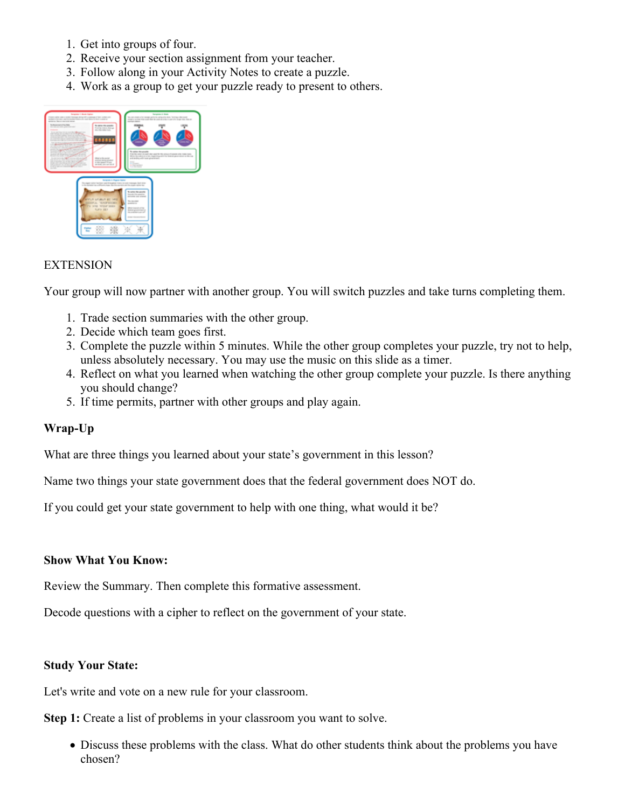- 1. Get into groups of four.
- 2. Receive your section assignment from your teacher.
- 3. Follow along in your Activity Notes to create a puzzle.
- 4. Work as a group to get your puzzle ready to present to others.



#### **EXTENSION**

Your group will now partner with another group. You will switch puzzles and take turns completing them.

- 1. Trade section summaries with the other group.
- 2. Decide which team goes first.
- 3. Complete the puzzle within 5 minutes. While the other group completes your puzzle, try not to help, unless absolutely necessary. You may use the music on this slide as a timer.
- 4. Reflect on what you learned when watching the other group complete your puzzle. Is there anything you should change?
- 5. If time permits, partner with other groups and play again.

# **Wrap-Up**

What are three things you learned about your state's government in this lesson?

Name two things your state government does that the federal government does NOT do.

If you could get your state government to help with one thing, what would it be?

#### **Show What You Know:**

Review the Summary. Then complete this formative assessment.

Decode questions with a cipher to reflect on the government of your state.

#### **Study Your State:**

Let's write and vote on a new rule for your classroom.

**Step 1:** Create a list of problems in your classroom you want to solve.

 Discuss these problems with the class. What do other students think about the problems you have chosen?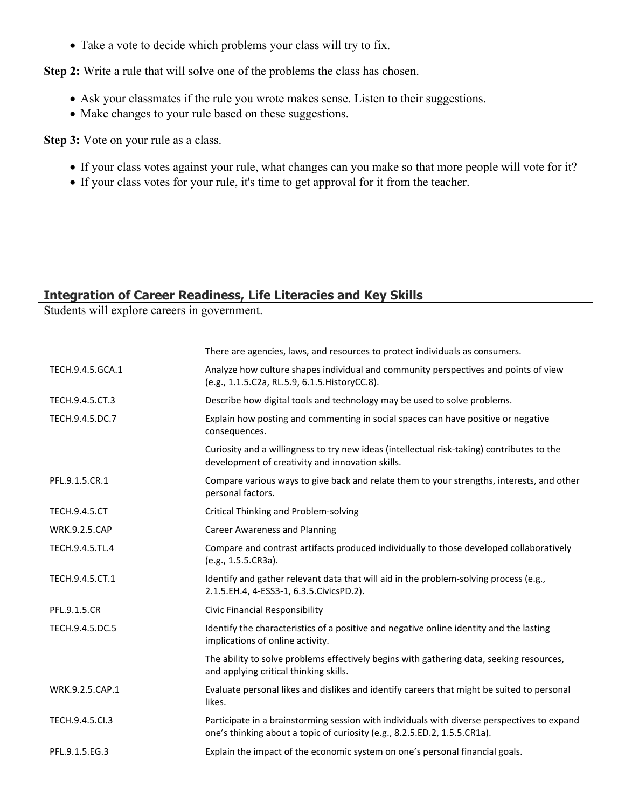Take a vote to decide which problems your class will try to fix.

**Step 2:** Write a rule that will solve one of the problems the class has chosen.

- Ask your classmates if the rule you wrote makes sense. Listen to their suggestions.
- Make changes to your rule based on these suggestions.

**Step 3:** Vote on your rule as a class.

- If your class votes against your rule, what changes can you make so that more people will vote for it?
- If your class votes for your rule, it's time to get approval for it from the teacher.

# **Integration of Career Readiness, Life Literacies and Key Skills**

Students will explore careers in government.

|                      | There are agencies, laws, and resources to protect individuals as consumers.                                                                                             |
|----------------------|--------------------------------------------------------------------------------------------------------------------------------------------------------------------------|
| TECH.9.4.5.GCA.1     | Analyze how culture shapes individual and community perspectives and points of view<br>(e.g., 1.1.5.C2a, RL.5.9, 6.1.5. HistoryCC.8).                                    |
| TECH.9.4.5.CT.3      | Describe how digital tools and technology may be used to solve problems.                                                                                                 |
| TECH.9.4.5.DC.7      | Explain how posting and commenting in social spaces can have positive or negative<br>consequences.                                                                       |
|                      | Curiosity and a willingness to try new ideas (intellectual risk-taking) contributes to the<br>development of creativity and innovation skills.                           |
| PFL.9.1.5.CR.1       | Compare various ways to give back and relate them to your strengths, interests, and other<br>personal factors.                                                           |
| <b>TECH.9.4.5.CT</b> | Critical Thinking and Problem-solving                                                                                                                                    |
| <b>WRK.9.2.5.CAP</b> | <b>Career Awareness and Planning</b>                                                                                                                                     |
| TECH.9.4.5.TL.4      | Compare and contrast artifacts produced individually to those developed collaboratively<br>(e.g., 1.5.5.CR3a).                                                           |
| TECH.9.4.5.CT.1      | Identify and gather relevant data that will aid in the problem-solving process (e.g.,<br>2.1.5.EH.4, 4-ESS3-1, 6.3.5.CivicsPD.2).                                        |
| PFL.9.1.5.CR         | Civic Financial Responsibility                                                                                                                                           |
| TECH.9.4.5.DC.5      | Identify the characteristics of a positive and negative online identity and the lasting<br>implications of online activity.                                              |
|                      | The ability to solve problems effectively begins with gathering data, seeking resources,<br>and applying critical thinking skills.                                       |
| WRK.9.2.5.CAP.1      | Evaluate personal likes and dislikes and identify careers that might be suited to personal<br>likes.                                                                     |
| TECH.9.4.5.Cl.3      | Participate in a brainstorming session with individuals with diverse perspectives to expand<br>one's thinking about a topic of curiosity (e.g., 8.2.5.ED.2, 1.5.5.CR1a). |
| PFL.9.1.5.EG.3       | Explain the impact of the economic system on one's personal financial goals.                                                                                             |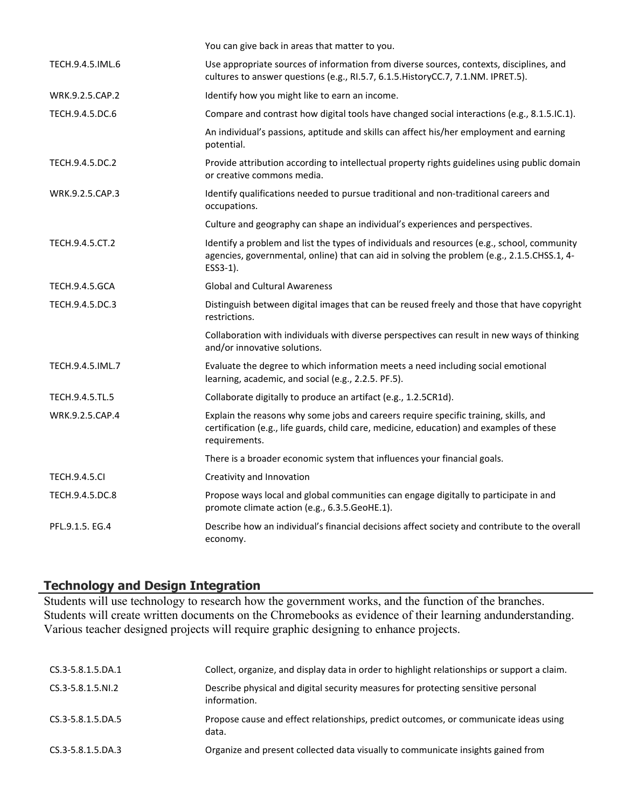|                       | You can give back in areas that matter to you.                                                                                                                                                         |
|-----------------------|--------------------------------------------------------------------------------------------------------------------------------------------------------------------------------------------------------|
| TECH.9.4.5.IML.6      | Use appropriate sources of information from diverse sources, contexts, disciplines, and<br>cultures to answer questions (e.g., RI.5.7, 6.1.5. HistoryCC.7, 7.1.NM. IPRET.5).                           |
| WRK.9.2.5.CAP.2       | Identify how you might like to earn an income.                                                                                                                                                         |
| TECH.9.4.5.DC.6       | Compare and contrast how digital tools have changed social interactions (e.g., 8.1.5.IC.1).                                                                                                            |
|                       | An individual's passions, aptitude and skills can affect his/her employment and earning<br>potential.                                                                                                  |
| TECH.9.4.5.DC.2       | Provide attribution according to intellectual property rights guidelines using public domain<br>or creative commons media.                                                                             |
| WRK.9.2.5.CAP.3       | Identify qualifications needed to pursue traditional and non-traditional careers and<br>occupations.                                                                                                   |
|                       | Culture and geography can shape an individual's experiences and perspectives.                                                                                                                          |
| TECH.9.4.5.CT.2       | Identify a problem and list the types of individuals and resources (e.g., school, community<br>agencies, governmental, online) that can aid in solving the problem (e.g., 2.1.5.CHSS.1, 4-<br>ESS3-1). |
| <b>TECH.9.4.5.GCA</b> | <b>Global and Cultural Awareness</b>                                                                                                                                                                   |
| TECH.9.4.5.DC.3       | Distinguish between digital images that can be reused freely and those that have copyright<br>restrictions.                                                                                            |
|                       | Collaboration with individuals with diverse perspectives can result in new ways of thinking<br>and/or innovative solutions.                                                                            |
| TECH.9.4.5.IML.7      | Evaluate the degree to which information meets a need including social emotional<br>learning, academic, and social (e.g., 2.2.5. PF.5).                                                                |
| TECH.9.4.5.TL.5       | Collaborate digitally to produce an artifact (e.g., 1.2.5CR1d).                                                                                                                                        |
| WRK.9.2.5.CAP.4       | Explain the reasons why some jobs and careers require specific training, skills, and<br>certification (e.g., life guards, child care, medicine, education) and examples of these<br>requirements.      |
|                       | There is a broader economic system that influences your financial goals.                                                                                                                               |
| <b>TECH.9.4.5.CI</b>  | Creativity and Innovation                                                                                                                                                                              |
| TECH.9.4.5.DC.8       | Propose ways local and global communities can engage digitally to participate in and<br>promote climate action (e.g., 6.3.5.GeoHE.1).                                                                  |
| PFL.9.1.5. EG.4       | Describe how an individual's financial decisions affect society and contribute to the overall<br>economy.                                                                                              |

# **Technology and Design Integration**

Students will use technology to research how the government works, and the function of the branches. Students will create written documents on the Chromebooks as evidence of their learning andunderstanding. Various teacher designed projects will require graphic designing to enhance projects.

| CS.3-5.8.1.5.DA.1      | Collect, organize, and display data in order to highlight relationships or support a claim.       |
|------------------------|---------------------------------------------------------------------------------------------------|
| $CS.3 - 5.8.1.5. N1.2$ | Describe physical and digital security measures for protecting sensitive personal<br>information. |
| CS.3-5.8.1.5.DA.5      | Propose cause and effect relationships, predict outcomes, or communicate ideas using<br>data.     |
| CS.3-5.8.1.5.DA.3      | Organize and present collected data visually to communicate insights gained from                  |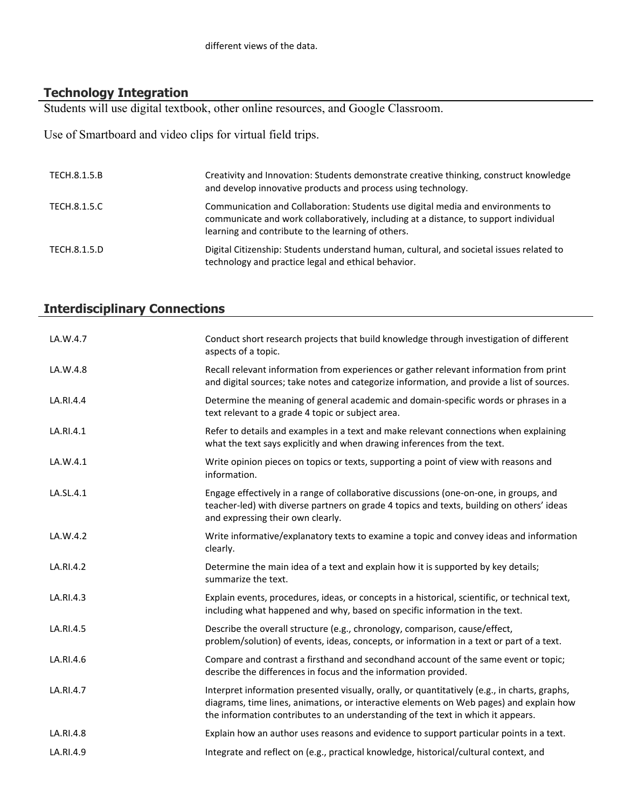# **Technology Integration**

Students will use digital textbook, other online resources, and Google Classroom.

Use of Smartboard and video clips for virtual field trips.

| TECH.8.1.5.B | Creativity and Innovation: Students demonstrate creative thinking, construct knowledge<br>and develop innovative products and process using technology.                                                                       |
|--------------|-------------------------------------------------------------------------------------------------------------------------------------------------------------------------------------------------------------------------------|
| TECH.8.1.5.C | Communication and Collaboration: Students use digital media and environments to<br>communicate and work collaboratively, including at a distance, to support individual<br>learning and contribute to the learning of others. |
| TECH.8.1.5.D | Digital Citizenship: Students understand human, cultural, and societal issues related to<br>technology and practice legal and ethical behavior.                                                                               |

# **Interdisciplinary Connections**

| LA.W.4.7  | Conduct short research projects that build knowledge through investigation of different<br>aspects of a topic.                                                                                                                                                               |
|-----------|------------------------------------------------------------------------------------------------------------------------------------------------------------------------------------------------------------------------------------------------------------------------------|
| LA.W.4.8  | Recall relevant information from experiences or gather relevant information from print<br>and digital sources; take notes and categorize information, and provide a list of sources.                                                                                         |
| LA.RI.4.4 | Determine the meaning of general academic and domain-specific words or phrases in a<br>text relevant to a grade 4 topic or subject area.                                                                                                                                     |
| LA.RI.4.1 | Refer to details and examples in a text and make relevant connections when explaining<br>what the text says explicitly and when drawing inferences from the text.                                                                                                            |
| LA.W.4.1  | Write opinion pieces on topics or texts, supporting a point of view with reasons and<br>information.                                                                                                                                                                         |
| LA.SL.4.1 | Engage effectively in a range of collaborative discussions (one-on-one, in groups, and<br>teacher-led) with diverse partners on grade 4 topics and texts, building on others' ideas<br>and expressing their own clearly.                                                     |
| LA.W.4.2  | Write informative/explanatory texts to examine a topic and convey ideas and information<br>clearly.                                                                                                                                                                          |
| LA.RI.4.2 | Determine the main idea of a text and explain how it is supported by key details;<br>summarize the text.                                                                                                                                                                     |
| LA.RI.4.3 | Explain events, procedures, ideas, or concepts in a historical, scientific, or technical text,<br>including what happened and why, based on specific information in the text.                                                                                                |
| LA.RI.4.5 | Describe the overall structure (e.g., chronology, comparison, cause/effect,<br>problem/solution) of events, ideas, concepts, or information in a text or part of a text.                                                                                                     |
| LA.RI.4.6 | Compare and contrast a firsthand and secondhand account of the same event or topic;<br>describe the differences in focus and the information provided.                                                                                                                       |
| LA.RI.4.7 | Interpret information presented visually, orally, or quantitatively (e.g., in charts, graphs,<br>diagrams, time lines, animations, or interactive elements on Web pages) and explain how<br>the information contributes to an understanding of the text in which it appears. |
| LA.RI.4.8 | Explain how an author uses reasons and evidence to support particular points in a text.                                                                                                                                                                                      |
| LA.RI.4.9 | Integrate and reflect on (e.g., practical knowledge, historical/cultural context, and                                                                                                                                                                                        |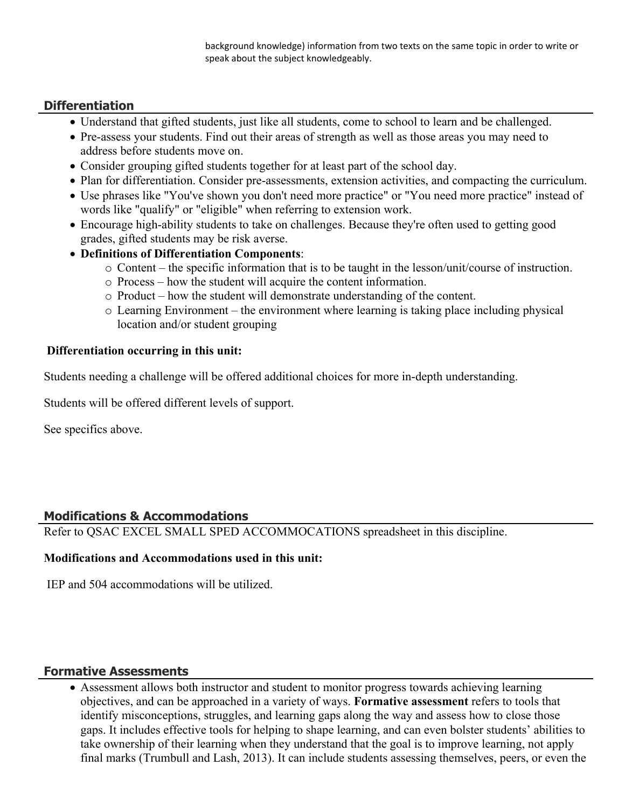background knowledge) information from two texts on the same topic in order to write or speak about the subject knowledgeably.

# **Differentiation**

- Understand that gifted students, just like all students, come to school to learn and be challenged.
- Pre-assess your students. Find out their areas of strength as well as those areas you may need to address before students move on.
- Consider grouping gifted students together for at least part of the school day.
- Plan for differentiation. Consider pre-assessments, extension activities, and compacting the curriculum.
- Use phrases like "You've shown you don't need more practice" or "You need more practice" instead of words like "qualify" or "eligible" when referring to extension work.
- Encourage high-ability students to take on challenges. Because they're often used to getting good grades, gifted students may be risk averse.
- **Definitions of Differentiation Components**:
	- o Content the specific information that is to be taught in the lesson/unit/course of instruction.
	- o Process how the student will acquire the content information.
	- o Product how the student will demonstrate understanding of the content.
	- o Learning Environment the environment where learning is taking place including physical location and/or student grouping

#### **Differentiation occurring in this unit:**

Students needing a challenge will be offered additional choices for more in-depth understanding.

Students will be offered different levels of support.

See specifics above.

# **Modifications & Accommodations**

Refer to QSAC EXCEL SMALL SPED ACCOMMOCATIONS spreadsheet in this discipline.

# **Modifications and Accommodations used in this unit:**

IEP and 504 accommodations will be utilized.

# **Formative Assessments**

 Assessment allows both instructor and student to monitor progress towards achieving learning objectives, and can be approached in a variety of ways. **Formative assessment** refers to tools that identify misconceptions, struggles, and learning gaps along the way and assess how to close those gaps. It includes effective tools for helping to shape learning, and can even bolster students' abilities to take ownership of their learning when they understand that the goal is to improve learning, not apply final marks (Trumbull and Lash, 2013). It can include students assessing themselves, peers, or even the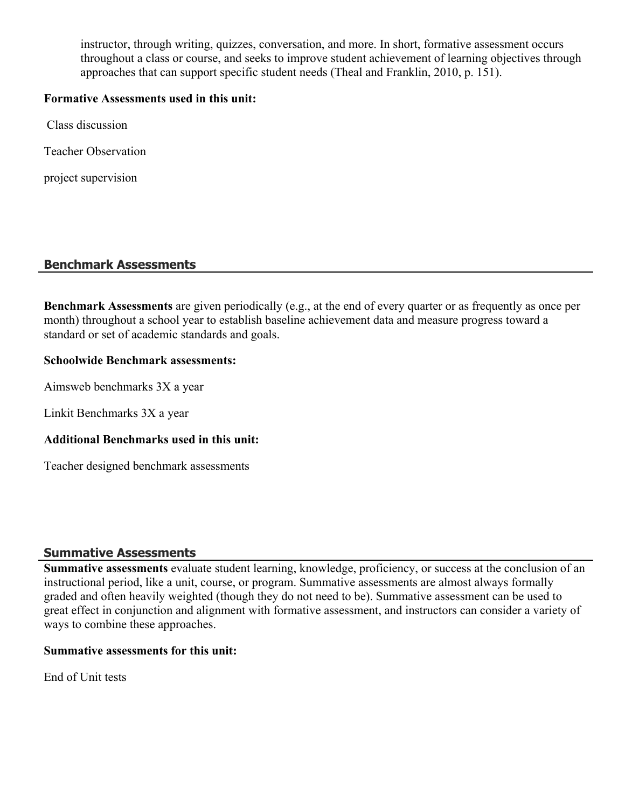instructor, through writing, quizzes, conversation, and more. In short, formative assessment occurs throughout a class or course, and seeks to improve student achievement of learning objectives through approaches that can support specific student needs (Theal and Franklin, 2010, p. 151).

#### **Formative Assessments used in this unit:**

Class discussion

Teacher Observation

project supervision

# **Benchmark Assessments**

**Benchmark Assessments** are given periodically (e.g., at the end of every quarter or as frequently as once per month) throughout a school year to establish baseline achievement data and measure progress toward a standard or set of academic standards and goals.

#### **Schoolwide Benchmark assessments:**

Aimsweb benchmarks 3X a year

Linkit Benchmarks 3X a year

# **Additional Benchmarks used in this unit:**

Teacher designed benchmark assessments

# **Summative Assessments**

**Summative assessments** evaluate student learning, knowledge, proficiency, or success at the conclusion of an instructional period, like a unit, course, or program. Summative assessments are almost always formally graded and often heavily weighted (though they do not need to be). Summative assessment can be used to great effect in conjunction and alignment with formative assessment, and instructors can consider a variety of ways to combine these approaches.

#### **Summative assessments for this unit:**

End of Unit tests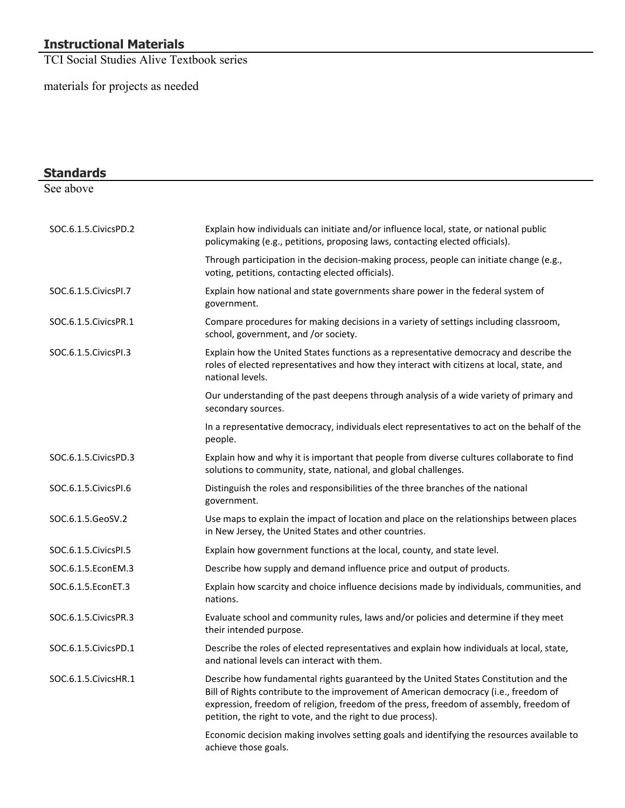# **Instructional Materials**

TCI Social Studies Alive Textbook series

materials for projects as needed

| <b>Standards</b>       |                                                                                                                                                                                                                                                                                                                                       |
|------------------------|---------------------------------------------------------------------------------------------------------------------------------------------------------------------------------------------------------------------------------------------------------------------------------------------------------------------------------------|
| See above              |                                                                                                                                                                                                                                                                                                                                       |
| SOC.6.1.5. Civics PD.2 | Explain how individuals can initiate and/or influence local, state, or national public<br>policymaking (e.g., petitions, proposing laws, contacting elected officials).                                                                                                                                                               |
|                        | Through participation in the decision-making process, people can initiate change (e.g.,<br>voting, petitions, contacting elected officials).                                                                                                                                                                                          |
| SOC.6.1.5. Civics PI.7 | Explain how national and state governments share power in the federal system of<br>government.                                                                                                                                                                                                                                        |
| SOC.6.1.5. Civics PR.1 | Compare procedures for making decisions in a variety of settings including classroom,<br>school, government, and /or society.                                                                                                                                                                                                         |
| SOC.6.1.5. Civics PI.3 | Explain how the United States functions as a representative democracy and describe the<br>roles of elected representatives and how they interact with citizens at local, state, and<br>national levels.                                                                                                                               |
|                        | Our understanding of the past deepens through analysis of a wide variety of primary and<br>secondary sources.                                                                                                                                                                                                                         |
|                        | In a representative democracy, individuals elect representatives to act on the behalf of the<br>people.                                                                                                                                                                                                                               |
| SOC.6.1.5. Civics PD.3 | Explain how and why it is important that people from diverse cultures collaborate to find<br>solutions to community, state, national, and global challenges.                                                                                                                                                                          |
| SOC.6.1.5. Civics PI.6 | Distinguish the roles and responsibilities of the three branches of the national<br>government.                                                                                                                                                                                                                                       |
| SOC.6.1.5.GeoSV.2      | Use maps to explain the impact of location and place on the relationships between places<br>in New Jersey, the United States and other countries.                                                                                                                                                                                     |
| SOC.6.1.5. Civics PI.5 | Explain how government functions at the local, county, and state level.                                                                                                                                                                                                                                                               |
| SOC.6.1.5.EconEM.3     | Describe how supply and demand influence price and output of products.                                                                                                                                                                                                                                                                |
| SOC.6.1.5.EconET.3     | Explain how scarcity and choice influence decisions made by individuals, communities, and<br>nations.                                                                                                                                                                                                                                 |
| SOC.6.1.5. Civics PR.3 | Evaluate school and community rules, laws and/or policies and determine if they meet<br>their intended purpose.                                                                                                                                                                                                                       |
| SOC.6.1.5. Civics PD.1 | Describe the roles of elected representatives and explain how individuals at local, state,<br>and national levels can interact with them.                                                                                                                                                                                             |
| SOC.6.1.5. Civics HR.1 | Describe how fundamental rights guaranteed by the United States Constitution and the<br>Bill of Rights contribute to the improvement of American democracy (i.e., freedom of<br>expression, freedom of religion, freedom of the press, freedom of assembly, freedom of<br>petition, the right to vote, and the right to due process). |
|                        | Economic decision making involves setting goals and identifying the resources available to<br>achieve those goals.                                                                                                                                                                                                                    |

—